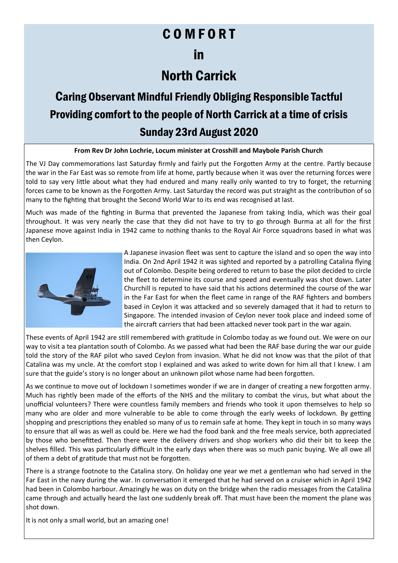## C O M F O R T

### in

## North Carrick

# Caring Observant Mindful Friendly Obliging Responsible Tactful Providing comfort to the people of North Carrick at a time of crisis Sunday 23rd August 2020

### **From Rev Dr John Lochrie, Locum minister at Crosshill and Maybole Parish Church**

The VJ Day commemorations last Saturday firmly and fairly put the Forgotten Army at the centre. Partly because the war in the Far East was so remote from life at home, partly because when it was over the returning forces were told to say very little about what they had endured and many really only wanted to try to forget, the returning forces came to be known as the Forgotten Army. Last Saturday the record was put straight as the contribution of so many to the fighting that brought the Second World War to its end was recognised at last.

Much was made of the fighting in Burma that prevented the Japanese from taking India, which was their goal throughout. It was very nearly the case that they did not have to try to go through Burma at all for the first Japanese move against India in 1942 came to nothing thanks to the Royal Air Force squadrons based in what was then Ceylon.



A Japanese invasion fleet was sent to capture the island and so open the way into India. On 2nd April 1942 it was sighted and reported by a patrolling Catalina flying out of Colombo. Despite being ordered to return to base the pilot decided to circle the fleet to determine its course and speed and eventually was shot down. Later Churchill is reputed to have said that his actions determined the course of the war in the Far East for when the fleet came in range of the RAF fighters and bombers based in Ceylon it was attacked and so severely damaged that it had to return to Singapore. The intended invasion of Ceylon never took place and indeed some of the aircraft carriers that had been attacked never took part in the war again.

These events of April 1942 are still remembered with gratitude in Colombo today as we found out. We were on our way to visit a tea plantation south of Colombo. As we passed what had been the RAF base during the war our guide told the story of the RAF pilot who saved Ceylon from invasion. What he did not know was that the pilot of that Catalina was my uncle. At the comfort stop I explained and was asked to write down for him all that I knew. I am sure that the guide's story is no longer about an unknown pilot whose name had been forgotten.

As we continue to move out of lockdown I sometimes wonder if we are in danger of creating a new forgotten army. Much has rightly been made of the efforts of the NHS and the military to combat the virus, but what about the unofficial volunteers? There were countless family members and friends who took it upon themselves to help so many who are older and more vulnerable to be able to come through the early weeks of lockdown. By getting shopping and prescriptions they enabled so many of us to remain safe at home. They kept in touch in so many ways to ensure that all was as well as could be. Here we had the food bank and the free meals service, both appreciated by those who benefitted. Then there were the delivery drivers and shop workers who did their bit to keep the shelves filled. This was particularly difficult in the early days when there was so much panic buying. We all owe all of them a debt of gratitude that must not be forgotten.

There is a strange footnote to the Catalina story. On holiday one year we met a gentleman who had served in the Far East in the navy during the war. In conversation it emerged that he had served on a cruiser which in April 1942 had been in Colombo harbour. Amazingly he was on duty on the bridge when the radio messages from the Catalina came through and actually heard the last one suddenly break off. That must have been the moment the plane was shot down.

It is not only a small world, but an amazing one!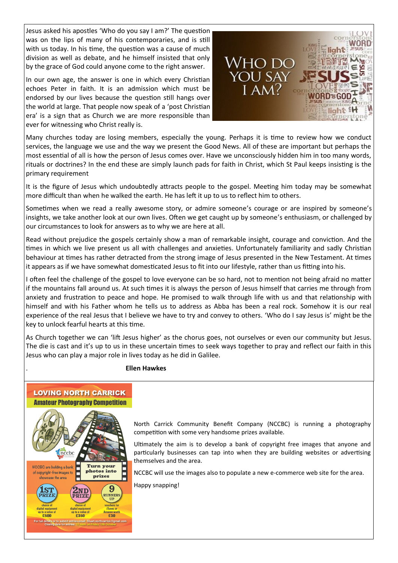Jesus asked his apostles 'Who do you say I am?' The question was on the lips of many of his contemporaries, and is still with us today. In his time, the question was a cause of much division as well as debate, and he himself insisted that only by the grace of God could anyone come to the right answer.

In our own age, the answer is one in which every Christian echoes Peter in faith. It is an admission which must be endorsed by our lives because the question still hangs over the world at large. That people now speak of a 'post Christian era' is a sign that as Church we are more responsible than ever for witnessing who Christ really is.



Many churches today are losing members, especially the young. Perhaps it is time to review how we conduct services, the language we use and the way we present the Good News. All of these are important but perhaps the most essential of all is how the person of Jesus comes over. Have we unconsciously hidden him in too many words, rituals or doctrines? In the end these are simply launch pads for faith in Christ, which St Paul keeps insisting is the primary requirement

It is the figure of Jesus which undoubtedly attracts people to the gospel. Meeting him today may be somewhat more difficult than when he walked the earth. He has left it up to us to reflect him to others.

Sometimes when we read a really awesome story, or admire someone's courage or are inspired by someone's insights, we take another look at our own lives. Often we get caught up by someone's enthusiasm, or challenged by our circumstances to look for answers as to why we are here at all.

Read without prejudice the gospels certainly show a man of remarkable insight, courage and conviction. And the times in which we live present us all with challenges and anxieties. Unfortunately familiarity and sadly Christian behaviour at times has rather detracted from the strong image of Jesus presented in the New Testament. At times it appears as if we have somewhat domesticated Jesus to fit into our lifestyle, rather than us fitting into his.

I often feel the challenge of the gospel to love everyone can be so hard, not to mention not being afraid no matter if the mountains fall around us. At such times it is always the person of Jesus himself that carries me through from anxiety and frustration to peace and hope. He promised to walk through life with us and that relationship with himself and with his Father whom he tells us to address as Abba has been a real rock. Somehow it is our real experience of the real Jesus that I believe we have to try and convey to others. 'Who do I say Jesus is' might be the key to unlock fearful hearts at this time.

As Church together we can 'lift Jesus higher' as the chorus goes, not ourselves or even our community but Jesus. The die is cast and it's up to us in these uncertain times to seek ways together to pray and reflect our faith in this Jesus who can play a major role in lives today as he did in Galilee.

#### . **Ellen Hawkes**



**LOVING NORTH CARRICK** 

North Carrick Community Benefit Company (NCCBC) is running a photography competition with some very handsome prizes available.

Ultimately the aim is to develop a bank of copyright free images that anyone and particularly businesses can tap into when they are building websites or advertising themselves and the area.

NCCBC will use the images also to populate a new e-commerce web site for the area.

Happy snapping!